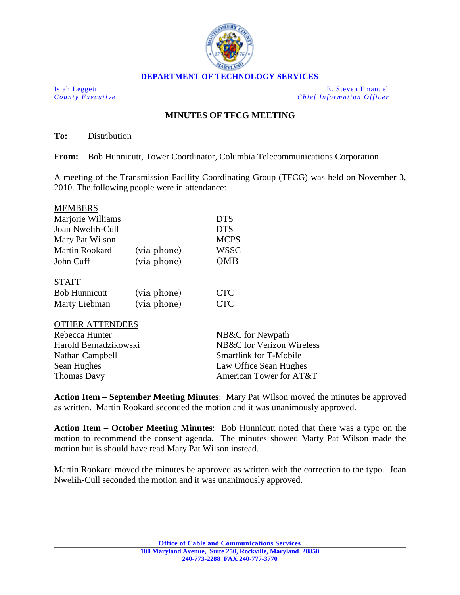

Isiah Leggett E. Steven Emanuel *County Executive Chief Information Officer*

## **MINUTES OF TFCG MEETING**

**To:** Distribution

**From:** Bob Hunnicutt, Tower Coordinator, Columbia Telecommunications Corporation

A meeting of the Transmission Facility Coordinating Group (TFCG) was held on November 3, 2010. The following people were in attendance:

| <b>MEMBERS</b>        |             |             |
|-----------------------|-------------|-------------|
| Marjorie Williams     |             | <b>DTS</b>  |
| Joan Nwelih-Cull      |             | <b>DTS</b>  |
| Mary Pat Wilson       |             | <b>MCPS</b> |
| <b>Martin Rookard</b> | (via phone) | <b>WSSC</b> |
| John Cuff             | (via phone) | OMB         |
| <b>STAFF</b>          |             |             |
| <b>Bob Hunnicutt</b>  | (via phone) | CTC         |

| DOU HUIIIIICUU | $(via$ priorie) | ◡ェ◡        |
|----------------|-----------------|------------|
| Marty Liebman  | (via phone)     | <b>CTC</b> |

## OTHER ATTENDEES

| NB&C for Newpath              |  |
|-------------------------------|--|
| NB&C for Verizon Wireless     |  |
| <b>Smartlink for T-Mobile</b> |  |
| Law Office Sean Hughes        |  |
| American Tower for AT&T       |  |
|                               |  |

**Action Item – September Meeting Minutes**: Mary Pat Wilson moved the minutes be approved as written. Martin Rookard seconded the motion and it was unanimously approved.

**Action Item – October Meeting Minutes**: Bob Hunnicutt noted that there was a typo on the motion to recommend the consent agenda. The minutes showed Marty Pat Wilson made the motion but is should have read Mary Pat Wilson instead.

Martin Rookard moved the minutes be approved as written with the correction to the typo. Joan Nwelih-Cull seconded the motion and it was unanimously approved.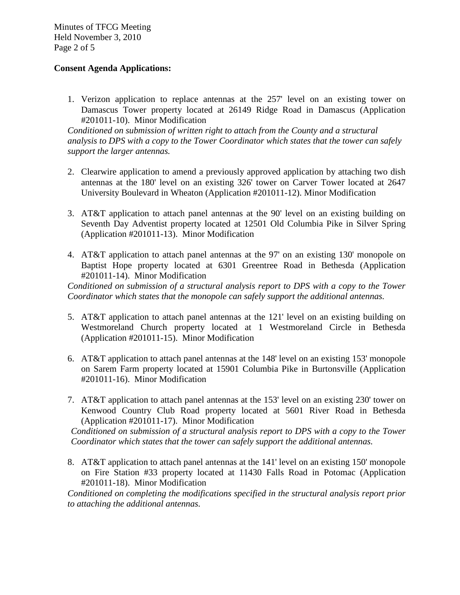Minutes of TFCG Meeting Held November 3, 2010 Page 2 of 5

## **Consent Agenda Applications:**

1. Verizon application to replace antennas at the 257' level on an existing tower on Damascus Tower property located at 26149 Ridge Road in Damascus (Application #201011-10). Minor Modification

*Conditioned on submission of written right to attach from the County and a structural analysis to DPS with a copy to the Tower Coordinator which states that the tower can safely support the larger antennas.* 

- 2. Clearwire application to amend a previously approved application by attaching two dish antennas at the 180' level on an existing 326' tower on Carver Tower located at 2647 University Boulevard in Wheaton (Application #201011-12). Minor Modification
- 3. AT&T application to attach panel antennas at the 90' level on an existing building on Seventh Day Adventist property located at 12501 Old Columbia Pike in Silver Spring (Application #201011-13). Minor Modification
- 4. AT&T application to attach panel antennas at the 97' on an existing 130' monopole on Baptist Hope property located at 6301 Greentree Road in Bethesda (Application #201011-14). Minor Modification

*Conditioned on submission of a structural analysis report to DPS with a copy to the Tower Coordinator which states that the monopole can safely support the additional antennas.* 

- 5. AT&T application to attach panel antennas at the 121' level on an existing building on Westmoreland Church property located at 1 Westmoreland Circle in Bethesda (Application #201011-15). Minor Modification
- 6. AT&T application to attach panel antennas at the 148' level on an existing 153' monopole on Sarem Farm property located at 15901 Columbia Pike in Burtonsville (Application #201011-16). Minor Modification
- 7. AT&T application to attach panel antennas at the 153' level on an existing 230' tower on Kenwood Country Club Road property located at 5601 River Road in Bethesda (Application #201011-17). Minor Modification

*Conditioned on submission of a structural analysis report to DPS with a copy to the Tower Coordinator which states that the tower can safely support the additional antennas.* 

8. AT&T application to attach panel antennas at the 141' level on an existing 150' monopole on Fire Station #33 property located at 11430 Falls Road in Potomac (Application #201011-18). Minor Modification

*Conditioned on completing the modifications specified in the structural analysis report prior to attaching the additional antennas.*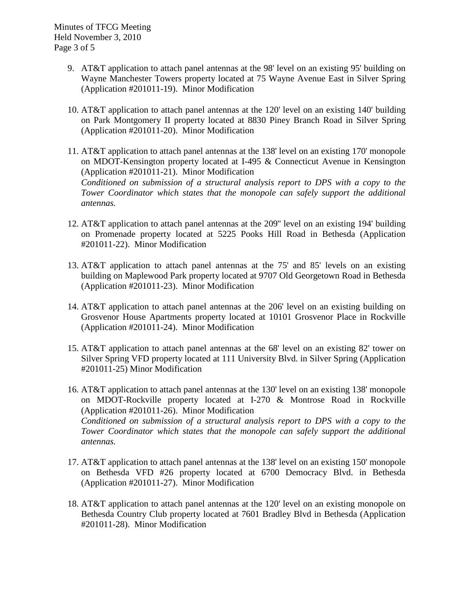- 9. AT&T application to attach panel antennas at the 98' level on an existing 95' building on Wayne Manchester Towers property located at 75 Wayne Avenue East in Silver Spring (Application #201011-19). Minor Modification
- 10. AT&T application to attach panel antennas at the 120' level on an existing 140' building on Park Montgomery II property located at 8830 Piney Branch Road in Silver Spring (Application #201011-20). Minor Modification
- 11. AT&T application to attach panel antennas at the 138' level on an existing 170' monopole on MDOT-Kensington property located at I-495 & Connecticut Avenue in Kensington (Application #201011-21). Minor Modification *Conditioned on submission of a structural analysis report to DPS with a copy to the Tower Coordinator which states that the monopole can safely support the additional antennas.*
- 12. AT&T application to attach panel antennas at the 209'' level on an existing 194' building on Promenade property located at 5225 Pooks Hill Road in Bethesda (Application #201011-22). Minor Modification
- 13. AT&T application to attach panel antennas at the 75' and 85' levels on an existing building on Maplewood Park property located at 9707 Old Georgetown Road in Bethesda (Application #201011-23). Minor Modification
- 14. AT&T application to attach panel antennas at the 206' level on an existing building on Grosvenor House Apartments property located at 10101 Grosvenor Place in Rockville (Application #201011-24). Minor Modification
- 15. AT&T application to attach panel antennas at the 68' level on an existing 82' tower on Silver Spring VFD property located at 111 University Blvd. in Silver Spring (Application #201011-25) Minor Modification
- 16. AT&T application to attach panel antennas at the 130' level on an existing 138' monopole on MDOT-Rockville property located at I-270 & Montrose Road in Rockville (Application #201011-26). Minor Modification *Conditioned on submission of a structural analysis report to DPS with a copy to the Tower Coordinator which states that the monopole can safely support the additional antennas.*
- 17. AT&T application to attach panel antennas at the 138' level on an existing 150' monopole on Bethesda VFD #26 property located at 6700 Democracy Blvd. in Bethesda (Application #201011-27). Minor Modification
- 18. AT&T application to attach panel antennas at the 120' level on an existing monopole on Bethesda Country Club property located at 7601 Bradley Blvd in Bethesda (Application #201011-28). Minor Modification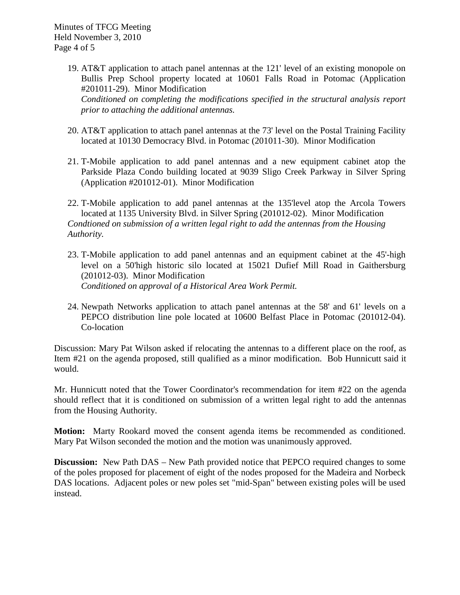Minutes of TFCG Meeting Held November 3, 2010 Page 4 of 5

- 19. AT&T application to attach panel antennas at the 121' level of an existing monopole on Bullis Prep School property located at 10601 Falls Road in Potomac (Application #201011-29). Minor Modification *Conditioned on completing the modifications specified in the structural analysis report prior to attaching the additional antennas.*
- 20. AT&T application to attach panel antennas at the 73' level on the Postal Training Facility located at 10130 Democracy Blvd. in Potomac (201011-30). Minor Modification
- 21. T-Mobile application to add panel antennas and a new equipment cabinet atop the Parkside Plaza Condo building located at 9039 Sligo Creek Parkway in Silver Spring (Application #201012-01). Minor Modification
- 22. T-Mobile application to add panel antennas at the 135'level atop the Arcola Towers located at 1135 University Blvd. in Silver Spring (201012-02). Minor Modification *Condtioned on submission of a written legal right to add the antennas from the Housing Authority.*
- 23. T-Mobile application to add panel antennas and an equipment cabinet at the 45'-high level on a 50'high historic silo located at 15021 Dufief Mill Road in Gaithersburg (201012-03). Minor Modification *Conditioned on approval of a Historical Area Work Permit.*
- 24. Newpath Networks application to attach panel antennas at the 58' and 61' levels on a PEPCO distribution line pole located at 10600 Belfast Place in Potomac (201012-04). Co-location

Discussion: Mary Pat Wilson asked if relocating the antennas to a different place on the roof, as Item #21 on the agenda proposed, still qualified as a minor modification. Bob Hunnicutt said it would.

Mr. Hunnicutt noted that the Tower Coordinator's recommendation for item #22 on the agenda should reflect that it is conditioned on submission of a written legal right to add the antennas from the Housing Authority.

**Motion:** Marty Rookard moved the consent agenda items be recommended as conditioned. Mary Pat Wilson seconded the motion and the motion was unanimously approved.

**Discussion:** New Path DAS – New Path provided notice that PEPCO required changes to some of the poles proposed for placement of eight of the nodes proposed for the Madeira and Norbeck DAS locations. Adjacent poles or new poles set "mid-Span" between existing poles will be used instead.